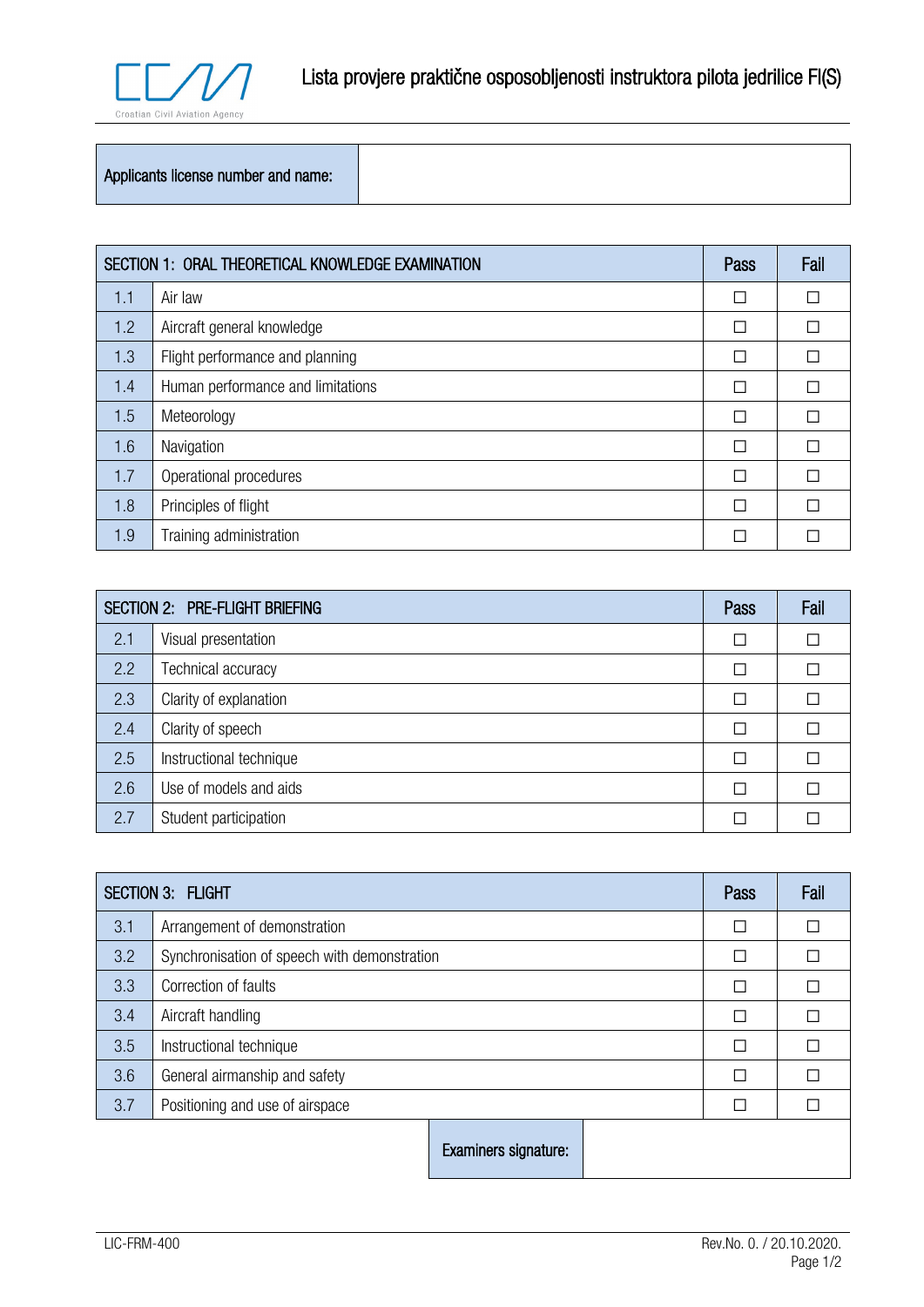

## Applicants license number and name:

| SECTION 1: ORAL THEORETICAL KNOWLEDGE EXAMINATION |                                   | Pass | Fail |
|---------------------------------------------------|-----------------------------------|------|------|
| 1.1                                               | Air law                           |      |      |
| 1.2                                               | Aircraft general knowledge        |      |      |
| 1.3                                               | Flight performance and planning   | П    |      |
| 1.4                                               | Human performance and limitations | П    |      |
| 1.5                                               | Meteorology                       | П    |      |
| 1.6                                               | Navigation                        | П    |      |
| 1.7                                               | Operational procedures            | П    |      |
| 1.8                                               | Principles of flight              |      |      |
| 1.9                                               | Training administration           |      |      |

| <b>SECTION 2: PRE-FLIGHT BRIEFING</b> |                         | Pass | Fail |
|---------------------------------------|-------------------------|------|------|
| 2.1                                   | Visual presentation     | П    |      |
| 2.2                                   | Technical accuracy      | П    |      |
| 2.3                                   | Clarity of explanation  | Г    |      |
| 2.4                                   | Clarity of speech       | П    |      |
| 2.5                                   | Instructional technique | П    |      |
| 2.6                                   | Use of models and aids  | П    |      |
| 2.7                                   | Student participation   | Π    |      |

| <b>SECTION 3: FLIGHT</b> |                                              | Pass                 | Fail |  |  |
|--------------------------|----------------------------------------------|----------------------|------|--|--|
| 3.1                      | Arrangement of demonstration                 |                      | П    |  |  |
| 3.2                      | Synchronisation of speech with demonstration |                      | П    |  |  |
| 3.3                      | Correction of faults                         |                      | П    |  |  |
| 3.4                      | Aircraft handling                            |                      | П    |  |  |
| 3.5                      | Instructional technique                      |                      | П    |  |  |
| 3.6                      | General airmanship and safety                |                      | П    |  |  |
| 3.7                      | Positioning and use of airspace              |                      | П    |  |  |
|                          |                                              | Examiners signature: |      |  |  |